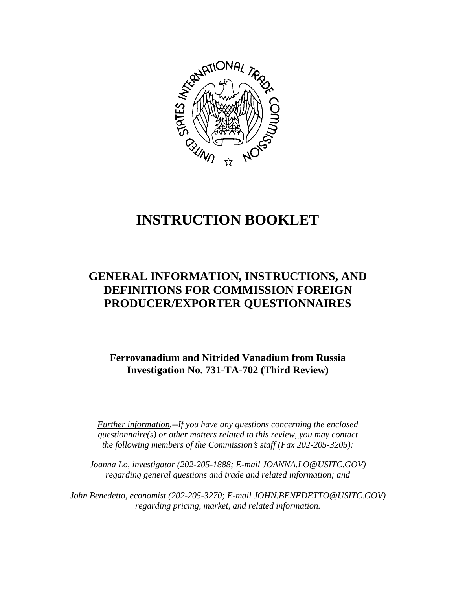

# **INSTRUCTION BOOKLET**

# **GENERAL INFORMATION, INSTRUCTIONS, AND DEFINITIONS FOR COMMISSION FOREIGN PRODUCER/EXPORTER QUESTIONNAIRES**

**Ferrovanadium and Nitrided Vanadium from Russia Investigation No. 731-TA-702 (Third Review)**

*Further information.--If you have any questions concerning the enclosed questionnaire(s) or other matters related to this review, you may contact the following members of the Commission's staff (Fax 202-205-3205):* 

 *Joanna Lo, investigator (202-205-1888; E-mail JOANNA.LO@USITC.GOV) regarding general questions and trade and related information; and* 

 *John Benedetto, economist (202-205-3270; E-mail JOHN.BENEDETTO@USITC.GOV) regarding pricing, market, and related information.*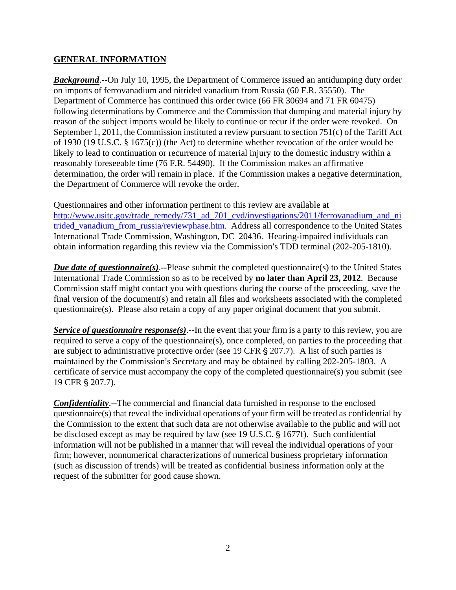## **GENERAL INFORMATION**

*Background*.--On July 10, 1995, the Department of Commerce issued an antidumping duty order on imports of ferrovanadium and nitrided vanadium from Russia (60 F.R. 35550). The Department of Commerce has continued this order twice (66 FR 30694 and 71 FR 60475) following determinations by Commerce and the Commission that dumping and material injury by reason of the subject imports would be likely to continue or recur if the order were revoked. On September 1, 2011, the Commission instituted a review pursuant to section 751(c) of the Tariff Act of 1930 (19 U.S.C. § 1675(c)) (the Act) to determine whether revocation of the order would be likely to lead to continuation or recurrence of material injury to the domestic industry within a reasonably foreseeable time (76 F.R. 54490). If the Commission makes an affirmative determination, the order will remain in place. If the Commission makes a negative determination, the Department of Commerce will revoke the order.

Questionnaires and other information pertinent to this review are available at http://www.usitc.gov/trade\_remedy/731\_ad\_701\_cvd/investigations/2011/ferrovanadium\_and\_ni trided vanadium from russia/reviewphase.htm. Address all correspondence to the United States International Trade Commission, Washington, DC 20436. Hearing-impaired individuals can obtain information regarding this review via the Commission's TDD terminal (202-205-1810).

*Due date of questionnaire(s)*.--Please submit the completed questionnaire(s) to the United States International Trade Commission so as to be received by **no later than April 23, 2012**. Because Commission staff might contact you with questions during the course of the proceeding, save the final version of the document(s) and retain all files and worksheets associated with the completed questionnaire(s). Please also retain a copy of any paper original document that you submit.

*Service of questionnaire response(s)*.--In the event that your firm is a party to this review, you are required to serve a copy of the questionnaire(s), once completed, on parties to the proceeding that are subject to administrative protective order (see 19 CFR  $\S 207.7$ ). A list of such parties is maintained by the Commission's Secretary and may be obtained by calling 202-205-1803. A certificate of service must accompany the copy of the completed questionnaire(s) you submit (see 19 CFR § 207.7).

*Confidentiality*.--The commercial and financial data furnished in response to the enclosed questionnaire(s) that reveal the individual operations of your firm will be treated as confidential by the Commission to the extent that such data are not otherwise available to the public and will not be disclosed except as may be required by law (see 19 U.S.C. § 1677f). Such confidential information will not be published in a manner that will reveal the individual operations of your firm; however, nonnumerical characterizations of numerical business proprietary information (such as discussion of trends) will be treated as confidential business information only at the request of the submitter for good cause shown.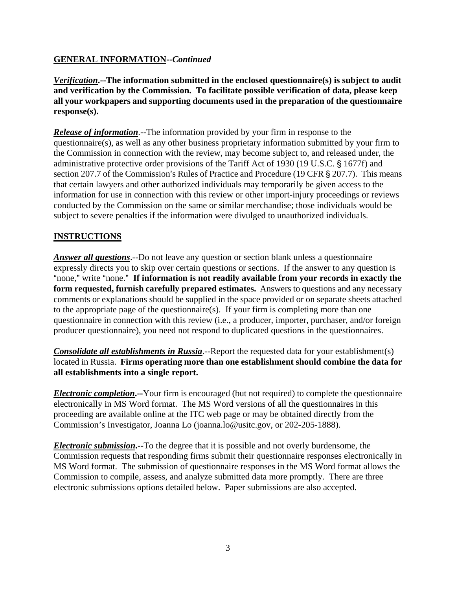# **GENERAL INFORMATION--***Continued*

*Verification***.--The information submitted in the enclosed questionnaire(s) is subject to audit and verification by the Commission. To facilitate possible verification of data, please keep all your workpapers and supporting documents used in the preparation of the questionnaire response(s).**

*Release of information*.--The information provided by your firm in response to the questionnaire(s), as well as any other business proprietary information submitted by your firm to the Commission in connection with the review, may become subject to, and released under, the administrative protective order provisions of the Tariff Act of 1930 (19 U.S.C. § 1677f) and section 207.7 of the Commission's Rules of Practice and Procedure (19 CFR § 207.7). This means that certain lawyers and other authorized individuals may temporarily be given access to the information for use in connection with this review or other import-injury proceedings or reviews conducted by the Commission on the same or similar merchandise; those individuals would be subject to severe penalties if the information were divulged to unauthorized individuals.

# **INSTRUCTIONS**

*Answer all questions*.--Do not leave any question or section blank unless a questionnaire expressly directs you to skip over certain questions or sections. If the answer to any question is "none," write "none." If information is not readily available from your records in exactly the **form requested, furnish carefully prepared estimates.** Answers to questions and any necessary comments or explanations should be supplied in the space provided or on separate sheets attached to the appropriate page of the questionnaire(s). If your firm is completing more than one questionnaire in connection with this review (i.e., a producer, importer, purchaser, and/or foreign producer questionnaire), you need not respond to duplicated questions in the questionnaires.

*Consolidate all establishments in Russia*.--Report the requested data for your establishment(s) located in Russia. **Firms operating more than one establishment should combine the data for all establishments into a single report.** 

*Electronic completion***.--**Your firm is encouraged (but not required) to complete the questionnaire electronically in MS Word format. The MS Word versions of all the questionnaires in this proceeding are available online at the ITC web page or may be obtained directly from the Commission's Investigator, Joanna Lo (joanna.lo@usitc.gov, or 202-205-1888).

*Electronic submission***.--**To the degree that it is possible and not overly burdensome, the Commission requests that responding firms submit their questionnaire responses electronically in MS Word format. The submission of questionnaire responses in the MS Word format allows the Commission to compile, assess, and analyze submitted data more promptly. There are three electronic submissions options detailed below. Paper submissions are also accepted.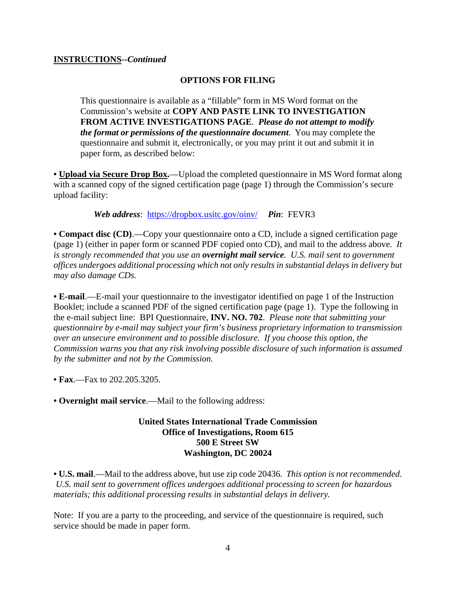#### **INSTRUCTIONS--***Continued*

## **OPTIONS FOR FILING**

This questionnaire is available as a "fillable" form in MS Word format on the Commission's website at **COPY AND PASTE LINK TO INVESTIGATION FROM ACTIVE INVESTIGATIONS PAGE**. *Please do not attempt to modify the format or permissions of the questionnaire document*. You may complete the questionnaire and submit it, electronically, or you may print it out and submit it in paper form, as described below:

• **Upload via Secure Drop Box.**—Upload the completed questionnaire in MS Word format along with a scanned copy of the signed certification page (page 1) through the Commission's secure upload facility:

*Web address*: https://dropbox.usitc.gov/oinv/ *Pin*: FEVR3

**• Compact disc (CD)**.—Copy your questionnaire onto a CD, include a signed certification page (page 1) (either in paper form or scanned PDF copied onto CD), and mail to the address above. *It is strongly recommended that you use an overnight mail service. U.S. mail sent to government offices undergoes additional processing which not only results in substantial delays in delivery but may also damage CDs.* 

**• E-mail**.—E-mail your questionnaire to the investigator identified on page 1 of the Instruction Booklet; include a scanned PDF of the signed certification page (page 1). Type the following in the e-mail subject line: BPI Questionnaire, **INV. NO. 702**. *Please note that submitting your questionnaire by e-mail may subject your firm's business proprietary information to transmission over an unsecure environment and to possible disclosure. If you choose this option, the Commission warns you that any risk involving possible disclosure of such information is assumed by the submitter and not by the Commission.* 

- **Fax**.—Fax to 202.205.3205.
- **Overnight mail service**.—Mail to the following address:

#### **United States International Trade Commission Office of Investigations, Room 615 500 E Street SW Washington, DC 20024**

**• U.S. mail**.—Mail to the address above, but use zip code 20436. *This option is not recommended. U.S. mail sent to government offices undergoes additional processing to screen for hazardous materials; this additional processing results in substantial delays in delivery.* 

Note: If you are a party to the proceeding, and service of the questionnaire is required, such service should be made in paper form.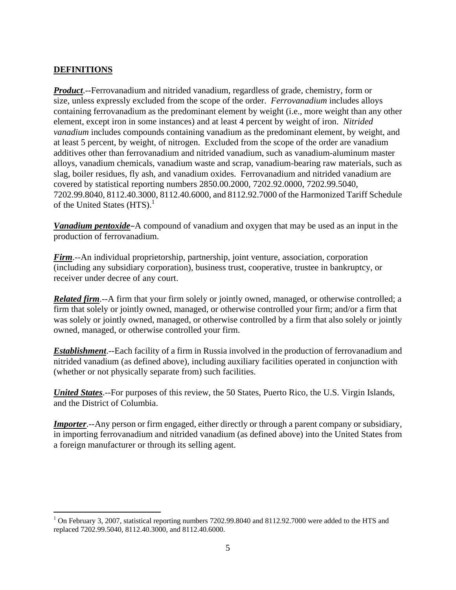# **DEFINITIONS**

 $\overline{a}$ 

*Product*.--Ferrovanadium and nitrided vanadium, regardless of grade, chemistry, form or size, unless expressly excluded from the scope of the order. *Ferrovanadium* includes alloys containing ferrovanadium as the predominant element by weight (i.e., more weight than any other element, except iron in some instances) and at least 4 percent by weight of iron. *Nitrided vanadium* includes compounds containing vanadium as the predominant element, by weight, and at least 5 percent, by weight, of nitrogen. Excluded from the scope of the order are vanadium additives other than ferrovanadium and nitrided vanadium, such as vanadium-aluminum master alloys, vanadium chemicals, vanadium waste and scrap, vanadium-bearing raw materials, such as slag, boiler residues, fly ash, and vanadium oxides. Ferrovanadium and nitrided vanadium are covered by statistical reporting numbers 2850.00.2000, 7202.92.0000, 7202.99.5040, 7202.99.8040, 8112.40.3000, 8112.40.6000, and 8112.92.7000 of the Harmonized Tariff Schedule of the United States  $(HTS)^1$ .

*Vanadium pentoxide*-A compound of vanadium and oxygen that may be used as an input in the production of ferrovanadium.

*Firm*.--An individual proprietorship, partnership, joint venture, association, corporation (including any subsidiary corporation), business trust, cooperative, trustee in bankruptcy, or receiver under decree of any court.

*Related firm*.--A firm that your firm solely or jointly owned, managed, or otherwise controlled; a firm that solely or jointly owned, managed, or otherwise controlled your firm; and/or a firm that was solely or jointly owned, managed, or otherwise controlled by a firm that also solely or jointly owned, managed, or otherwise controlled your firm.

*Establishment*.--Each facility of a firm in Russia involved in the production of ferrovanadium and nitrided vanadium (as defined above), including auxiliary facilities operated in conjunction with (whether or not physically separate from) such facilities.

*United States*.--For purposes of this review, the 50 States, Puerto Rico, the U.S. Virgin Islands, and the District of Columbia.

*Importer*.--Any person or firm engaged, either directly or through a parent company or subsidiary, in importing ferrovanadium and nitrided vanadium (as defined above) into the United States from a foreign manufacturer or through its selling agent.

<sup>&</sup>lt;sup>1</sup> On February 3, 2007, statistical reporting numbers 7202.99.8040 and 8112.92.7000 were added to the HTS and replaced 7202.99.5040, 8112.40.3000, and 8112.40.6000.